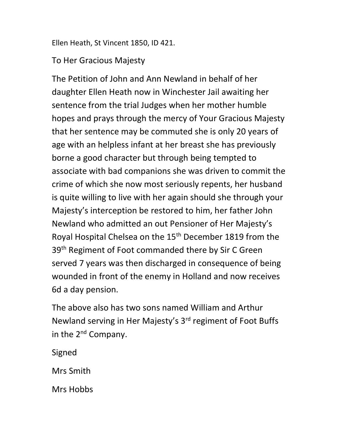Ellen Heath, St Vincent 1850, ID 421.

## To Her Gracious Majesty

The Petition of John and Ann Newland in behalf of her daughter Ellen Heath now in Winchester Jail awaiting her sentence from the trial Judges when her mother humble hopes and prays through the mercy of Your Gracious Majesty that her sentence may be commuted she is only 20 years of age with an helpless infant at her breast she has previously borne a good character but through being tempted to associate with bad companions she was driven to commit the crime of which she now most seriously repents, her husband is quite willing to live with her again should she through your Majesty's interception be restored to him, her father John Newland who admitted an out Pensioner of Her Majesty's Royal Hospital Chelsea on the 15th December 1819 from the 39<sup>th</sup> Regiment of Foot commanded there by Sir C Green served 7 years was then discharged in consequence of being wounded in front of the enemy in Holland and now receives 6d a day pension.

The above also has two sons named William and Arthur Newland serving in Her Majesty's 3<sup>rd</sup> regiment of Foot Buffs in the 2<sup>nd</sup> Company.

Signed

Mrs Smith

Mrs Hobbs